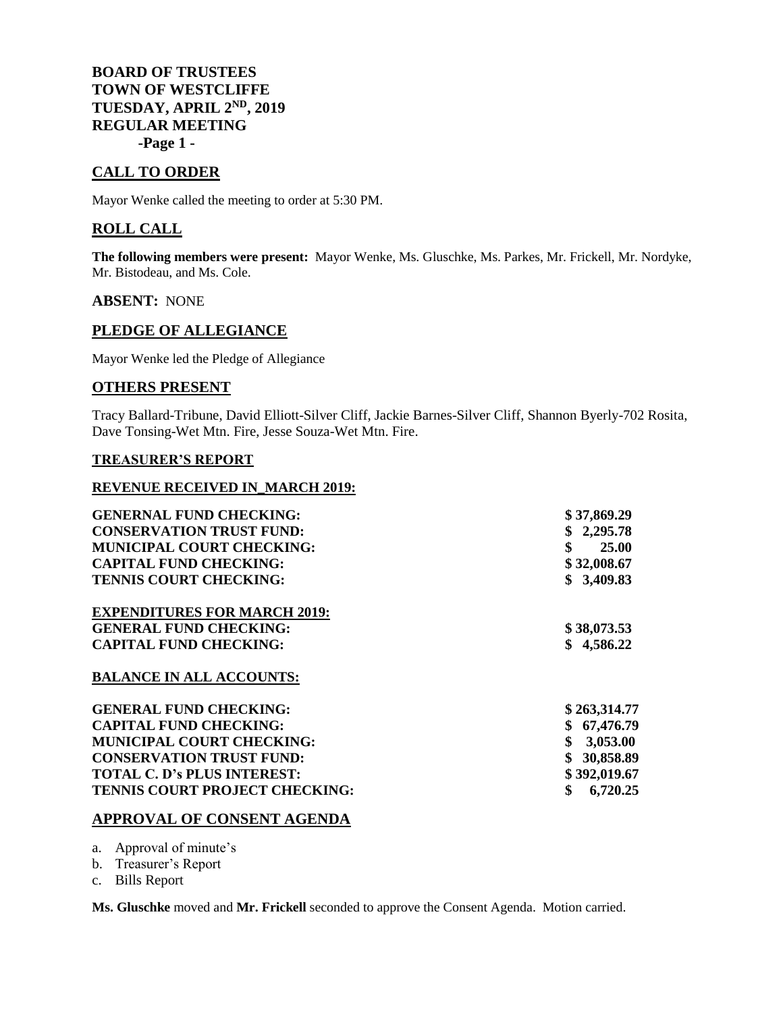**BOARD OF TRUSTEES TOWN OF WESTCLIFFE TUESDAY, APRIL 2ND, 2019 REGULAR MEETING -Page 1 -**

# **CALL TO ORDER**

Mayor Wenke called the meeting to order at 5:30 PM.

## **ROLL CALL**

**The following members were present:** Mayor Wenke, Ms. Gluschke, Ms. Parkes, Mr. Frickell, Mr. Nordyke, Mr. Bistodeau, and Ms. Cole.

#### **ABSENT:** NONE

## **PLEDGE OF ALLEGIANCE**

Mayor Wenke led the Pledge of Allegiance

## **OTHERS PRESENT**

Tracy Ballard-Tribune, David Elliott-Silver Cliff, Jackie Barnes-Silver Cliff, Shannon Byerly-702 Rosita, Dave Tonsing-Wet Mtn. Fire, Jesse Souza-Wet Mtn. Fire.

## **TREASURER'S REPORT**

#### **REVENUE RECEIVED IN\_MARCH 2019:**

| <b>GENERNAL FUND CHECKING:</b>      | \$37,869.29    |
|-------------------------------------|----------------|
| <b>CONSERVATION TRUST FUND:</b>     | \$2,295.78     |
| <b>MUNICIPAL COURT CHECKING:</b>    | \$<br>25.00    |
| <b>CAPITAL FUND CHECKING:</b>       | \$32,008.67    |
| <b>TENNIS COURT CHECKING:</b>       | \$3,409.83     |
| <b>EXPENDITURES FOR MARCH 2019:</b> |                |
| <b>GENERAL FUND CHECKING:</b>       | \$38,073.53    |
| <b>CAPITAL FUND CHECKING:</b>       | \$4,586.22     |
| <b>BALANCE IN ALL ACCOUNTS:</b>     |                |
| <b>GENERAL FUND CHECKING:</b>       | \$263,314.77   |
| <b>CAPITAL FUND CHECKING:</b>       | \$67,476.79    |
| <b>MUNICIPAL COURT CHECKING:</b>    | 3,053.00       |
| <b>CONSERVATION TRUST FUND:</b>     | 30,858.89      |
| <b>TOTAL C. D's PLUS INTEREST:</b>  | \$392,019.67   |
| TENNIS COURT PROJECT CHECKING:      | \$<br>6,720.25 |
|                                     |                |

# **APPROVAL OF CONSENT AGENDA**

a. Approval of minute's

b. Treasurer's Report

c. Bills Report

**Ms. Gluschke** moved and **Mr. Frickell** seconded to approve the Consent Agenda. Motion carried.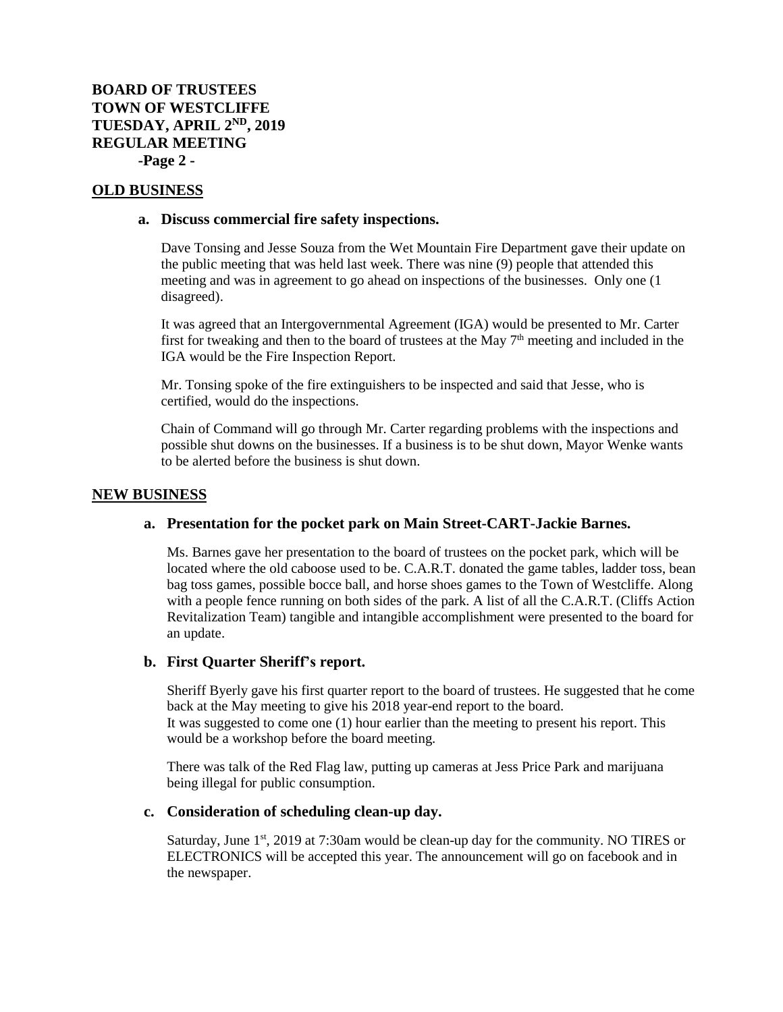# **BOARD OF TRUSTEES TOWN OF WESTCLIFFE TUESDAY, APRIL 2ND, 2019 REGULAR MEETING -Page 2 -**

### **OLD BUSINESS**

#### **a. Discuss commercial fire safety inspections.**

Dave Tonsing and Jesse Souza from the Wet Mountain Fire Department gave their update on the public meeting that was held last week. There was nine (9) people that attended this meeting and was in agreement to go ahead on inspections of the businesses. Only one (1 disagreed).

It was agreed that an Intergovernmental Agreement (IGA) would be presented to Mr. Carter first for tweaking and then to the board of trustees at the May 7<sup>th</sup> meeting and included in the IGA would be the Fire Inspection Report.

Mr. Tonsing spoke of the fire extinguishers to be inspected and said that Jesse, who is certified, would do the inspections.

Chain of Command will go through Mr. Carter regarding problems with the inspections and possible shut downs on the businesses. If a business is to be shut down, Mayor Wenke wants to be alerted before the business is shut down.

#### **NEW BUSINESS**

### **a. Presentation for the pocket park on Main Street-CART-Jackie Barnes.**

Ms. Barnes gave her presentation to the board of trustees on the pocket park, which will be located where the old caboose used to be. C.A.R.T. donated the game tables, ladder toss, bean bag toss games, possible bocce ball, and horse shoes games to the Town of Westcliffe. Along with a people fence running on both sides of the park. A list of all the C.A.R.T. (Cliffs Action Revitalization Team) tangible and intangible accomplishment were presented to the board for an update.

#### **b. First Quarter Sheriff's report.**

Sheriff Byerly gave his first quarter report to the board of trustees. He suggested that he come back at the May meeting to give his 2018 year-end report to the board. It was suggested to come one (1) hour earlier than the meeting to present his report. This would be a workshop before the board meeting.

There was talk of the Red Flag law, putting up cameras at Jess Price Park and marijuana being illegal for public consumption.

### **c. Consideration of scheduling clean-up day.**

Saturday, June  $1<sup>st</sup>$ , 2019 at 7:30am would be clean-up day for the community. NO TIRES or ELECTRONICS will be accepted this year. The announcement will go on facebook and in the newspaper.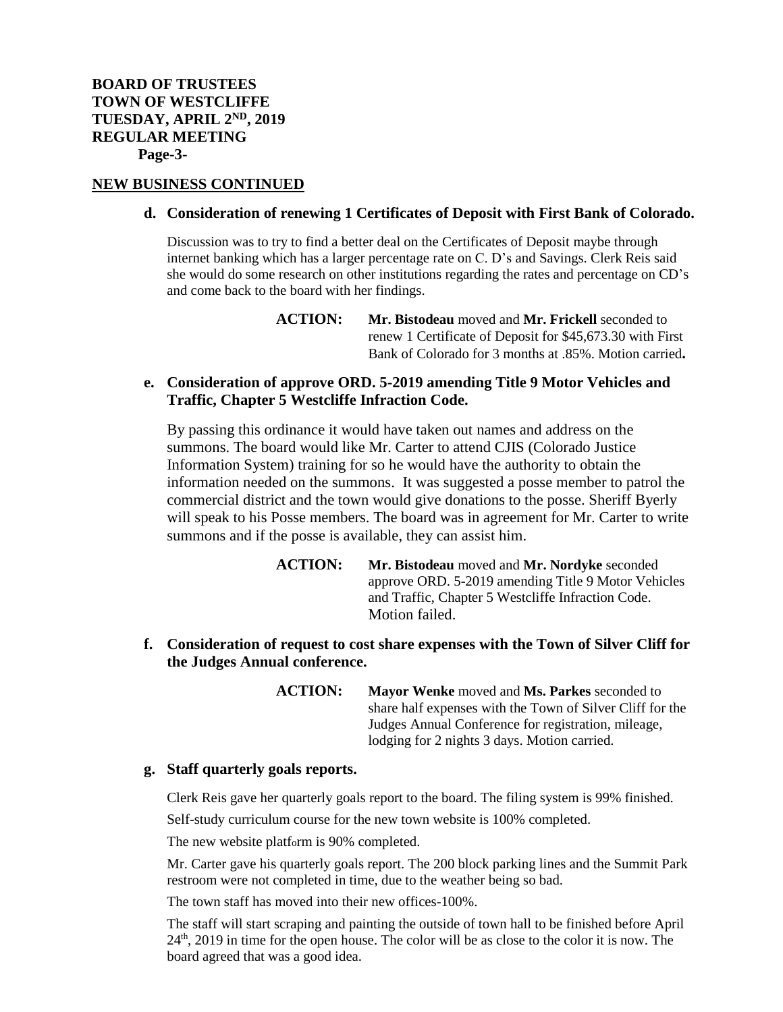### **NEW BUSINESS CONTINUED**

#### **d. Consideration of renewing 1 Certificates of Deposit with First Bank of Colorado.**

Discussion was to try to find a better deal on the Certificates of Deposit maybe through internet banking which has a larger percentage rate on C. D's and Savings. Clerk Reis said she would do some research on other institutions regarding the rates and percentage on CD's and come back to the board with her findings.

> **ACTION: Mr. Bistodeau** moved and **Mr. Frickell** seconded to renew 1 Certificate of Deposit for \$45,673.30 with First Bank of Colorado for 3 months at .85%. Motion carried**.**

# **e. Consideration of approve ORD. 5-2019 amending Title 9 Motor Vehicles and Traffic, Chapter 5 Westcliffe Infraction Code.**

By passing this ordinance it would have taken out names and address on the summons. The board would like Mr. Carter to attend CJIS (Colorado Justice Information System) training for so he would have the authority to obtain the information needed on the summons. It was suggested a posse member to patrol the commercial district and the town would give donations to the posse. Sheriff Byerly will speak to his Posse members. The board was in agreement for Mr. Carter to write summons and if the posse is available, they can assist him.

> **ACTION: Mr. Bistodeau** moved and **Mr. Nordyke** seconded approve ORD. 5-2019 amending Title 9 Motor Vehicles and Traffic, Chapter 5 Westcliffe Infraction Code. Motion failed.

**f. Consideration of request to cost share expenses with the Town of Silver Cliff for the Judges Annual conference.**

> **ACTION: Mayor Wenke** moved and **Ms. Parkes** seconded to share half expenses with the Town of Silver Cliff for the Judges Annual Conference for registration, mileage, lodging for 2 nights 3 days. Motion carried.

### **g. Staff quarterly goals reports.**

Clerk Reis gave her quarterly goals report to the board. The filing system is 99% finished.

Self-study curriculum course for the new town website is 100% completed.

The new website platform is 90% completed.

Mr. Carter gave his quarterly goals report. The 200 block parking lines and the Summit Park restroom were not completed in time, due to the weather being so bad.

The town staff has moved into their new offices-100%.

The staff will start scraping and painting the outside of town hall to be finished before April 24<sup>th</sup>, 2019 in time for the open house. The color will be as close to the color it is now. The board agreed that was a good idea.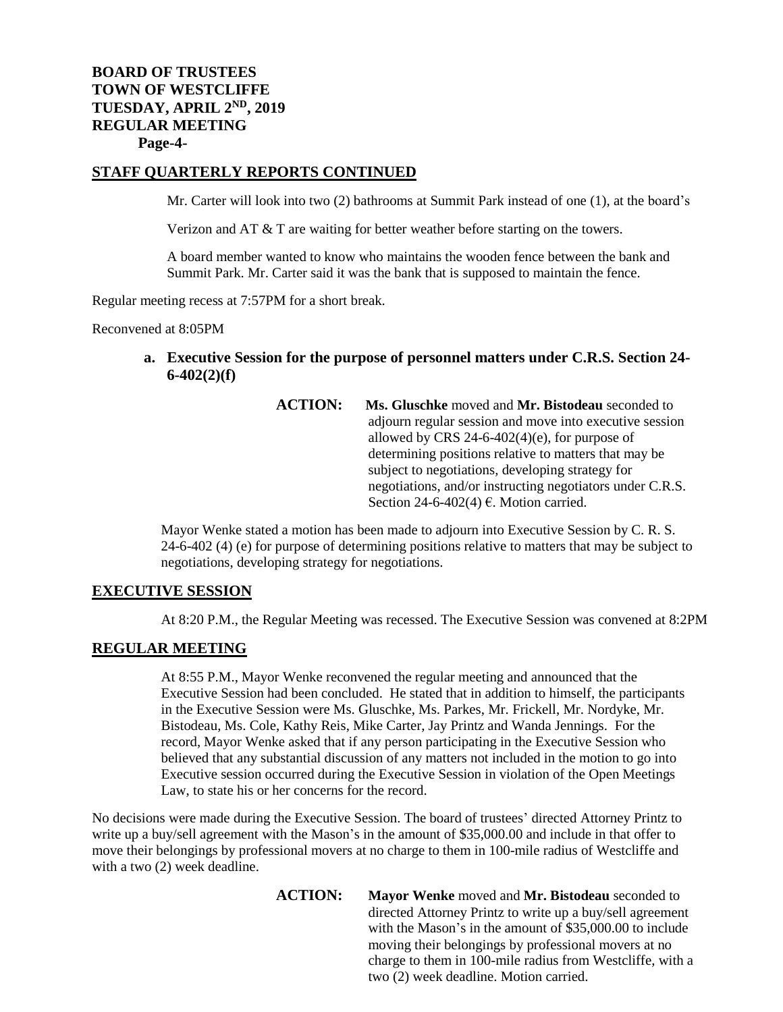# **BOARD OF TRUSTEES TOWN OF WESTCLIFFE TUESDAY, APRIL 2ND, 2019 REGULAR MEETING Page-4-**

# **STAFF QUARTERLY REPORTS CONTINUED**

Mr. Carter will look into two (2) bathrooms at Summit Park instead of one (1), at the board's

Verizon and AT & T are waiting for better weather before starting on the towers.

A board member wanted to know who maintains the wooden fence between the bank and Summit Park. Mr. Carter said it was the bank that is supposed to maintain the fence.

Regular meeting recess at 7:57PM for a short break.

Reconvened at 8:05PM

- **a. Executive Session for the purpose of personnel matters under C.R.S. Section 24- 6-402(2)(f)**
	- **ACTION: Ms. Gluschke** moved and **Mr. Bistodeau** seconded to adjourn regular session and move into executive session allowed by CRS  $24-6-402(4)$ (e), for purpose of determining positions relative to matters that may be subject to negotiations, developing strategy for negotiations, and/or instructing negotiators under C.R.S. Section 24-6-402(4)  $\epsilon$ . Motion carried.

Mayor Wenke stated a motion has been made to adjourn into Executive Session by C. R. S. 24-6-402 (4) (e) for purpose of determining positions relative to matters that may be subject to negotiations, developing strategy for negotiations.

### **EXECUTIVE SESSION**

At 8:20 P.M., the Regular Meeting was recessed. The Executive Session was convened at 8:2PM

## **REGULAR MEETING**

At 8:55 P.M., Mayor Wenke reconvened the regular meeting and announced that the Executive Session had been concluded. He stated that in addition to himself, the participants in the Executive Session were Ms. Gluschke, Ms. Parkes, Mr. Frickell, Mr. Nordyke, Mr. Bistodeau, Ms. Cole, Kathy Reis, Mike Carter, Jay Printz and Wanda Jennings. For the record, Mayor Wenke asked that if any person participating in the Executive Session who believed that any substantial discussion of any matters not included in the motion to go into Executive session occurred during the Executive Session in violation of the Open Meetings Law, to state his or her concerns for the record.

No decisions were made during the Executive Session. The board of trustees' directed Attorney Printz to write up a buy/sell agreement with the Mason's in the amount of \$35,000.00 and include in that offer to move their belongings by professional movers at no charge to them in 100-mile radius of Westcliffe and with a two  $(2)$  week deadline.

> **ACTION: Mayor Wenke** moved and **Mr. Bistodeau** seconded to directed Attorney Printz to write up a buy/sell agreement with the Mason's in the amount of \$35,000.00 to include moving their belongings by professional movers at no charge to them in 100-mile radius from Westcliffe, with a two (2) week deadline. Motion carried.